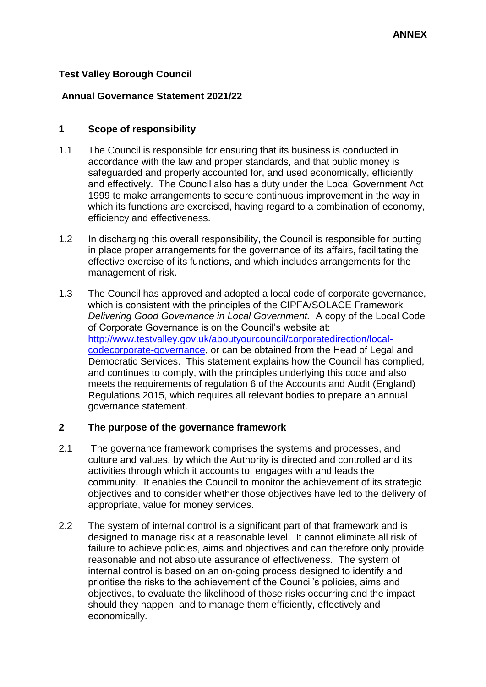# **Test Valley Borough Council**

# **Annual Governance Statement 2021/22**

# **1 Scope of responsibility**

- 1.1 The Council is responsible for ensuring that its business is conducted in accordance with the law and proper standards, and that public money is safeguarded and properly accounted for, and used economically, efficiently and effectively. The Council also has a duty under the Local Government Act 1999 to make arrangements to secure continuous improvement in the way in which its functions are exercised, having regard to a combination of economy, efficiency and effectiveness.
- 1.2 In discharging this overall responsibility, the Council is responsible for putting in place proper arrangements for the governance of its affairs, facilitating the effective exercise of its functions, and which includes arrangements for the management of risk.
- 1.3 The Council has approved and adopted a local code of corporate governance, which is consistent with the principles of the CIPFA/SOLACE Framework *Delivering Good Governance in Local Government.* A copy of the Local Code of Corporate Governance is on the Council's website at: [http://www.testvalley.gov.uk/aboutyourcouncil/corporatedirection/local](http://www.testvalley.gov.uk/aboutyourcouncil/corporatedirection/local-code-corporate-governance)[codecorporate-governance,](http://www.testvalley.gov.uk/aboutyourcouncil/corporatedirection/local-code-corporate-governance) or can be obtained from the Head of Legal and Democratic Services. This statement explains how the Council has complied, and continues to comply, with the principles underlying this code and also meets the requirements of regulation 6 of the Accounts and Audit (England) Regulations 2015, which requires all relevant bodies to prepare an annual governance statement.

# **2 The purpose of the governance framework**

- 2.1 The governance framework comprises the systems and processes, and culture and values, by which the Authority is directed and controlled and its activities through which it accounts to, engages with and leads the community. It enables the Council to monitor the achievement of its strategic objectives and to consider whether those objectives have led to the delivery of appropriate, value for money services.
- 2.2 The system of internal control is a significant part of that framework and is designed to manage risk at a reasonable level. It cannot eliminate all risk of failure to achieve policies, aims and objectives and can therefore only provide reasonable and not absolute assurance of effectiveness. The system of internal control is based on an on-going process designed to identify and prioritise the risks to the achievement of the Council's policies, aims and objectives, to evaluate the likelihood of those risks occurring and the impact should they happen, and to manage them efficiently, effectively and economically.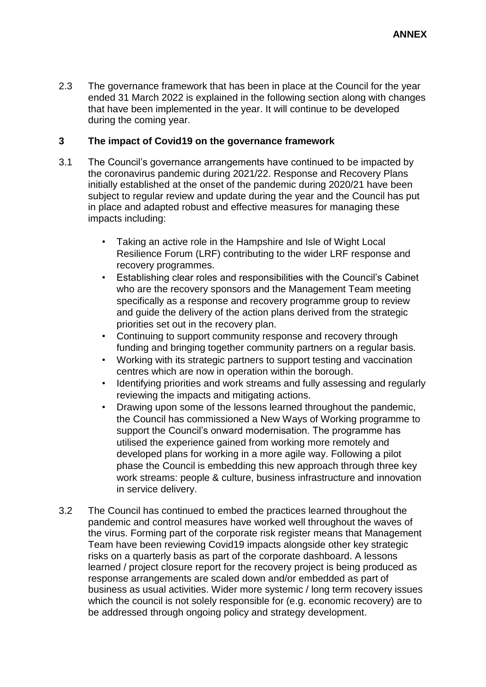2.3 The governance framework that has been in place at the Council for the year ended 31 March 2022 is explained in the following section along with changes that have been implemented in the year. It will continue to be developed during the coming year.

# **3 The impact of Covid19 on the governance framework**

- 3.1 The Council's governance arrangements have continued to be impacted by the coronavirus pandemic during 2021/22. Response and Recovery Plans initially established at the onset of the pandemic during 2020/21 have been subject to regular review and update during the year and the Council has put in place and adapted robust and effective measures for managing these impacts including:
	- Taking an active role in the Hampshire and Isle of Wight Local Resilience Forum (LRF) contributing to the wider LRF response and recovery programmes.
	- Establishing clear roles and responsibilities with the Council's Cabinet who are the recovery sponsors and the Management Team meeting specifically as a response and recovery programme group to review and guide the delivery of the action plans derived from the strategic priorities set out in the recovery plan.
	- Continuing to support community response and recovery through funding and bringing together community partners on a regular basis.
	- Working with its strategic partners to support testing and vaccination centres which are now in operation within the borough.
	- Identifying priorities and work streams and fully assessing and regularly reviewing the impacts and mitigating actions.
	- Drawing upon some of the lessons learned throughout the pandemic, the Council has commissioned a New Ways of Working programme to support the Council's onward modernisation. The programme has utilised the experience gained from working more remotely and developed plans for working in a more agile way. Following a pilot phase the Council is embedding this new approach through three key work streams: people & culture, business infrastructure and innovation in service delivery.
- 3.2 The Council has continued to embed the practices learned throughout the pandemic and control measures have worked well throughout the waves of the virus. Forming part of the corporate risk register means that Management Team have been reviewing Covid19 impacts alongside other key strategic risks on a quarterly basis as part of the corporate dashboard. A lessons learned / project closure report for the recovery project is being produced as response arrangements are scaled down and/or embedded as part of business as usual activities. Wider more systemic / long term recovery issues which the council is not solely responsible for (e.g. economic recovery) are to be addressed through ongoing policy and strategy development.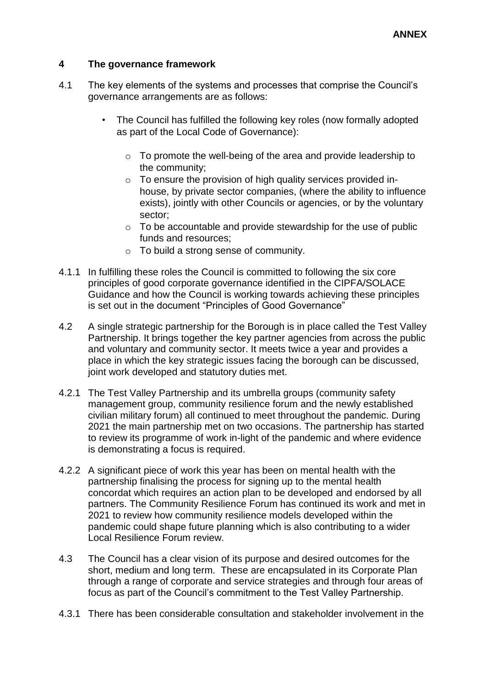# **4 The governance framework**

- 4.1 The key elements of the systems and processes that comprise the Council's governance arrangements are as follows:
	- The Council has fulfilled the following key roles (now formally adopted as part of the Local Code of Governance):
		- o To promote the well-being of the area and provide leadership to the community;
		- o To ensure the provision of high quality services provided inhouse, by private sector companies, (where the ability to influence exists), jointly with other Councils or agencies, or by the voluntary sector;
		- $\circ$  To be accountable and provide stewardship for the use of public funds and resources;
		- o To build a strong sense of community.
- 4.1.1 In fulfilling these roles the Council is committed to following the six core principles of good corporate governance identified in the CIPFA/SOLACE Guidance and how the Council is working towards achieving these principles is set out in the document "Principles of Good Governance"
- 4.2 A single strategic partnership for the Borough is in place called the Test Valley Partnership. It brings together the key partner agencies from across the public and voluntary and community sector. It meets twice a year and provides a place in which the key strategic issues facing the borough can be discussed, joint work developed and statutory duties met.
- 4.2.1 The Test Valley Partnership and its umbrella groups (community safety management group, community resilience forum and the newly established civilian military forum) all continued to meet throughout the pandemic. During 2021 the main partnership met on two occasions. The partnership has started to review its programme of work in-light of the pandemic and where evidence is demonstrating a focus is required.
- 4.2.2 A significant piece of work this year has been on mental health with the partnership finalising the process for signing up to the mental health concordat which requires an action plan to be developed and endorsed by all partners. The Community Resilience Forum has continued its work and met in 2021 to review how community resilience models developed within the pandemic could shape future planning which is also contributing to a wider Local Resilience Forum review.
- 4.3 The Council has a clear vision of its purpose and desired outcomes for the short, medium and long term. These are encapsulated in its Corporate Plan through a range of corporate and service strategies and through four areas of focus as part of the Council's commitment to the Test Valley Partnership.
- 4.3.1 There has been considerable consultation and stakeholder involvement in the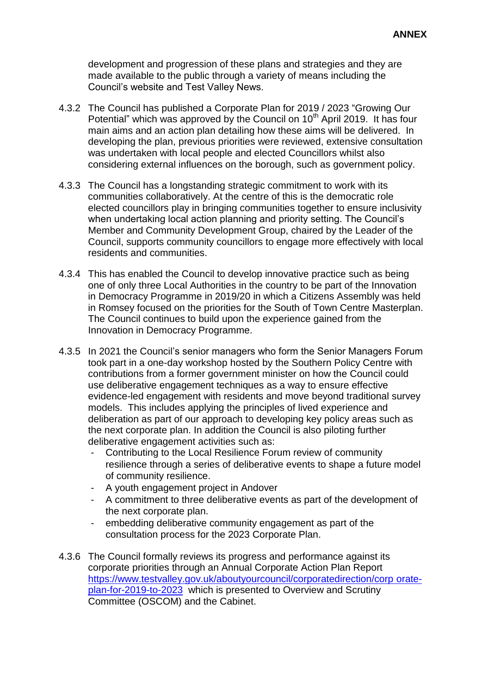development and progression of these plans and strategies and they are made available to the public through a variety of means including the Council's website and Test Valley News.

- 4.3.2 The Council has published [a](http://www.testvalley.gov.uk/aboutyourcouncil/corporatedirection/corporateplan/) [Corporate Plan for 2019](http://www.testvalley.gov.uk/aboutyourcouncil/corporatedirection/corporateplan/) [/ 2023](http://www.testvalley.gov.uk/aboutyourcouncil/corporatedirection/corporateplan/) ["Growing Our](http://www.testvalley.gov.uk/aboutyourcouncil/corporatedirection/corporateplan/)  [Potential" w](http://www.testvalley.gov.uk/aboutyourcouncil/corporatedirection/corporateplan/)hich was approved by the Council on 10<sup>th</sup> April 2019. It has four main aims and an action plan detailing how these aims will be delivered. In developing the plan, previous priorities were reviewed, extensive consultation was undertaken with local people and elected Councillors whilst also considering external influences on the borough, such as government policy.
- 4.3.3 The Council has a longstanding strategic commitment to work with its communities collaboratively. At the centre of this is the democratic role elected councillors play in bringing communities together to ensure inclusivity when undertaking local action planning and priority setting. The Council's Member and Community Development Group, chaired by the Leader of the Council, supports community councillors to engage more effectively with local residents and communities.
- 4.3.4 This has enabled the Council to develop innovative practice such as being one of only three Local Authorities in the country to be part of the Innovation in Democracy Programme in 2019/20 in which a Citizens Assembly was held in Romsey focused on the priorities for the South of Town Centre Masterplan. The Council continues to build upon the experience gained from the Innovation in Democracy Programme.
- 4.3.5 In 2021 the Council's senior managers who form the Senior Managers Forum took part in a one-day workshop hosted by the Southern Policy Centre with contributions from a former government minister on how the Council could use deliberative engagement techniques as a way to ensure effective evidence-led engagement with residents and move beyond traditional survey models. This includes applying the principles of lived experience and deliberation as part of our approach to developing key policy areas such as the next corporate plan. In addition the Council is also piloting further deliberative engagement activities such as:
	- Contributing to the Local Resilience Forum review of community resilience through a series of deliberative events to shape a future model of community resilience.
	- A youth engagement project in Andover
	- A commitment to three deliberative events as part of the development of the next corporate plan.
	- embedding deliberative community engagement as part of the consultation process for the 2023 Corporate Plan.
- 4.3.6 The Council formally reviews its progress and performance against its corporate priorities through an Annual Corporate Action Plan Report [https://www.testvalley.gov.uk/aboutyourcouncil/corporatedirection/corp orate](https://www.testvalley.gov.uk/aboutyourcouncil/corporatedirection/corporate-plan-for-2019-to-2023)[plan-for-2019-to-2023](https://www.testvalley.gov.uk/aboutyourcouncil/corporatedirection/corporate-plan-for-2019-to-2023) which is presented to Overview and Scrutiny Committee (OSCOM) and the Cabinet.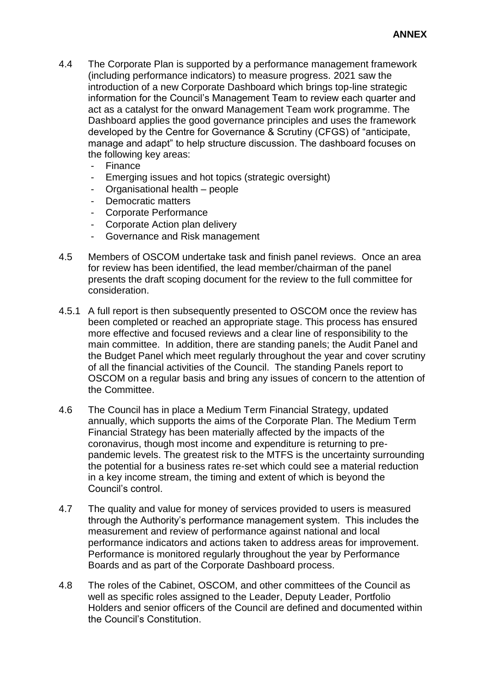- 4.4 The Corporate Plan is supported by a performance management framework (including performance indicators) to measure progress. 2021 saw the introduction of a new Corporate Dashboard which brings top-line strategic information for the Council's Management Team to review each quarter and act as a catalyst for the onward Management Team work programme. The Dashboard applies the good governance principles and uses the framework developed by the Centre for Governance & Scrutiny (CFGS) of "anticipate, manage and adapt" to help structure discussion. The dashboard focuses on the following key areas:
	- Finance
	- Emerging issues and hot topics (strategic oversight)
	- Organisational health people
	- Democratic matters
	- Corporate Performance
	- Corporate Action plan delivery
	- Governance and Risk management
- 4.5 Members of OSCOM undertake task and finish panel reviews. Once an area for review has been identified, the lead member/chairman of the panel presents the draft scoping document for the review to the full committee for consideration.
- 4.5.1 A full report is then subsequently presented to OSCOM once the review has been completed or reached an appropriate stage. This process has ensured more effective and focused reviews and a clear line of responsibility to the main committee. In addition, there are standing panels; the Audit Panel and the Budget Panel which meet regularly throughout the year and cover scrutiny of all the financial activities of the Council. The standing Panels report to OSCOM on a regular basis and bring any issues of concern to the attention of the Committee.
- 4.6 The Council has in place a Medium Term Financial Strategy, updated annually, which supports the aims of the Corporate Plan. The Medium Term Financial Strategy has been materially affected by the impacts of the coronavirus, though most income and expenditure is returning to prepandemic levels. The greatest risk to the MTFS is the uncertainty surrounding the potential for a business rates re-set which could see a material reduction in a key income stream, the timing and extent of which is beyond the Council's control.
- 4.7 The quality and value for money of services provided to users is measured through the Authority's performance management system. This includes the measurement and review of performance against national and local performance indicators and actions taken to address areas for improvement. Performance is monitored regularly throughout the year by Performance Boards and as part of the Corporate Dashboard process.
- 4.8 The roles of the Cabinet, OSCOM, and other committees of the Council as well as specific roles assigned to the Leader, Deputy Leader, Portfolio Holders and senior officers of the Council are defined and documented within the Council's Constitution.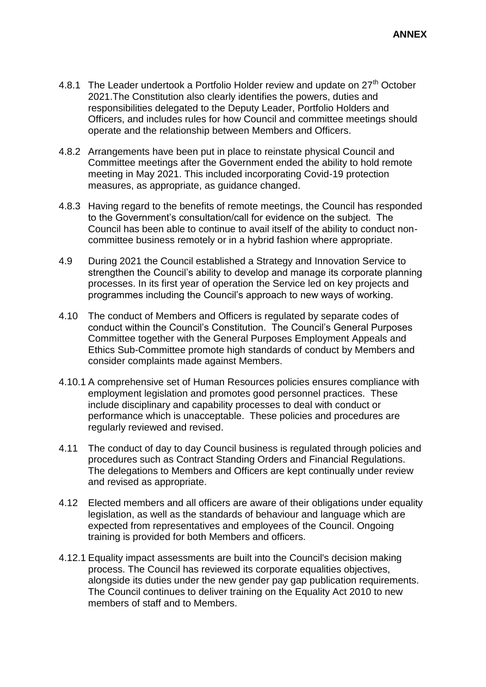- 4.8.1 The Leader undertook a Portfolio Holder review and update on 27<sup>th</sup> October 2021.The Constitution also clearly identifies the powers, duties and responsibilities delegated to the Deputy Leader, Portfolio Holders and Officers, and includes rules for how Council and committee meetings should operate and the relationship between Members and Officers.
- 4.8.2 Arrangements have been put in place to reinstate physical Council and Committee meetings after the Government ended the ability to hold remote meeting in May 2021. This included incorporating Covid-19 protection measures, as appropriate, as guidance changed.
- 4.8.3 Having regard to the benefits of remote meetings, the Council has responded to the Government's consultation/call for evidence on the subject. The Council has been able to continue to avail itself of the ability to conduct noncommittee business remotely or in a hybrid fashion where appropriate.
- 4.9 During 2021 the Council established a Strategy and Innovation Service to strengthen the Council's ability to develop and manage its corporate planning processes. In its first year of operation the Service led on key projects and programmes including the Council's approach to new ways of working.
- 4.10 The conduct of Members and Officers is regulated by separate codes of conduct within the Council's Constitution. The Council's General Purposes Committee together with the General Purposes Employment Appeals and Ethics Sub-Committee promote high standards of conduct by Members and consider complaints made against Members.
- 4.10.1 A comprehensive set of Human Resources policies ensures compliance with employment legislation and promotes good personnel practices. These include disciplinary and capability processes to deal with conduct or performance which is unacceptable. These policies and procedures are regularly reviewed and revised.
- 4.11 The conduct of day to day Council business is regulated through policies and procedures such as Contract Standing Orders and Financial Regulations. The delegations to Members and Officers are kept continually under review and revised as appropriate.
- 4.12 Elected members and all officers are aware of their obligations under equality legislation, as well as the standards of behaviour and language which are expected from representatives and employees of the Council. Ongoing training is provided for both Members and officers.
- 4.12.1 Equality impact assessments are built into the Council's decision making process. The Council has reviewed its corporate equalities objectives, alongside its duties under the new gender pay gap publication requirements. The Council continues to deliver training on the Equality Act 2010 to new members of staff and to Members.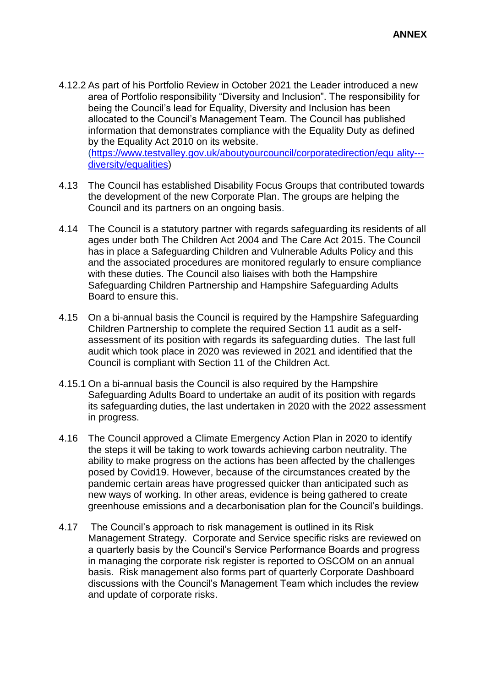- 4.12.2 As part of his Portfolio Review in October 2021 the Leader introduced a new area of Portfolio responsibility "Diversity and Inclusion". The responsibility for being the Council's lead for Equality, Diversity and Inclusion has been allocated to the Council's Management Team. The Council has published information that demonstrates compliance with the Equality Duty as defined by the Equality Act 2010 on its website. [\(https://www.testvalley.gov.uk/aboutyourcouncil/corporatedirection/equ ality--](https://www.testvalley.gov.uk/aboutyourcouncil/corporatedirection/equality---diversity/equalities) [diversity/equalities\)](https://www.testvalley.gov.uk/aboutyourcouncil/corporatedirection/equality---diversity/equalities)
- 4.13 The Council has established Disability Focus Groups that contributed towards the development of the new Corporate Plan. The groups are helping the Council and its partners on an ongoing basis.
- 4.14 The Council is a statutory partner with regards safeguarding its residents of all ages under both The Children Act 2004 and The Care Act 2015. The Council has in place a Safeguarding Children and Vulnerable Adults Policy and this and the associated procedures are monitored regularly to ensure compliance with these duties. The Council also liaises with both the Hampshire Safeguarding Children Partnership and Hampshire Safeguarding Adults Board to ensure this.
- 4.15 On a bi-annual basis the Council is required by the Hampshire Safeguarding Children Partnership to complete the required Section 11 audit as a selfassessment of its position with regards its safeguarding duties. The last full audit which took place in 2020 was reviewed in 2021 and identified that the Council is compliant with Section 11 of the Children Act.
- 4.15.1 On a bi-annual basis the Council is also required by the Hampshire Safeguarding Adults Board to undertake an audit of its position with regards its safeguarding duties, the last undertaken in 2020 with the 2022 assessment in progress.
- 4.16 The Council approved a Climate Emergency Action Plan in 2020 to identify the steps it will be taking to work towards achieving carbon neutrality. The ability to make progress on the actions has been affected by the challenges posed by Covid19. However, because of the circumstances created by the pandemic certain areas have progressed quicker than anticipated such as new ways of working. In other areas, evidence is being gathered to create greenhouse emissions and a decarbonisation plan for the Council's buildings.
- 4.17 The Council's approach to risk management is outlined in its Risk Management Strategy. Corporate and Service specific risks are reviewed on a quarterly basis by the Council's Service Performance Boards and progress in managing the corporate risk register is reported to OSCOM on an annual basis. Risk management also forms part of quarterly Corporate Dashboard discussions with the Council's Management Team which includes the review and update of corporate risks.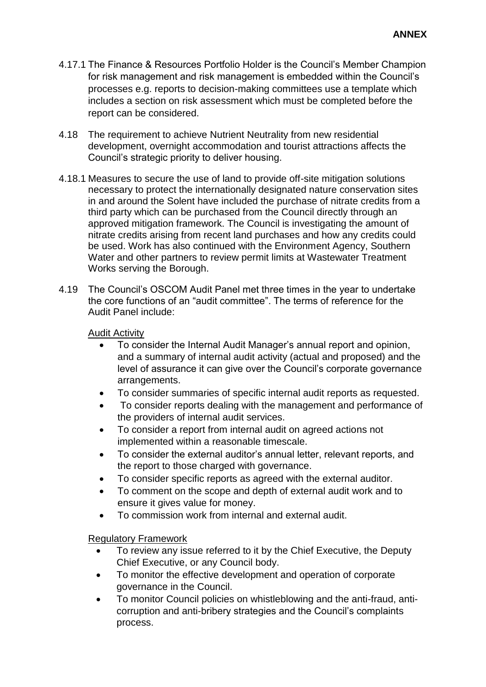- 4.17.1 The Finance & Resources Portfolio Holder is the Council's Member Champion for risk management and risk management is embedded within the Council's processes e.g. reports to decision-making committees use a template which includes a section on risk assessment which must be completed before the report can be considered.
- 4.18 The requirement to achieve Nutrient Neutrality from new residential development, overnight accommodation and tourist attractions affects the Council's strategic priority to deliver housing.
- 4.18.1 Measures to secure the use of land to provide off-site mitigation solutions necessary to protect the internationally designated nature conservation sites in and around the Solent have included the purchase of nitrate credits from a third party which can be purchased from the Council directly through an approved mitigation framework. The Council is investigating the amount of nitrate credits arising from recent land purchases and how any credits could be used. Work has also continued with the Environment Agency, Southern Water and other partners to review permit limits at Wastewater Treatment Works serving the Borough.
- 4.19 The Council's OSCOM Audit Panel met three times in the year to undertake the core functions of an "audit committee". The terms of reference for the Audit Panel include:

#### Audit Activity

- To consider the Internal Audit Manager's annual report and opinion, and a summary of internal audit activity (actual and proposed) and the level of assurance it can give over the Council's corporate governance arrangements.
- To consider summaries of specific internal audit reports as requested.
- To consider reports dealing with the management and performance of the providers of internal audit services.
- To consider a report from internal audit on agreed actions not implemented within a reasonable timescale.
- To consider the external auditor's annual letter, relevant reports, and the report to those charged with governance.
- To consider specific reports as agreed with the external auditor.
- To comment on the scope and depth of external audit work and to ensure it gives value for money.
- To commission work from internal and external audit.

#### Regulatory Framework

- To review any issue referred to it by the Chief Executive, the Deputy Chief Executive, or any Council body.
- To monitor the effective development and operation of corporate governance in the Council.
- To monitor Council policies on whistleblowing and the anti-fraud, anticorruption and anti-bribery strategies and the Council's complaints process.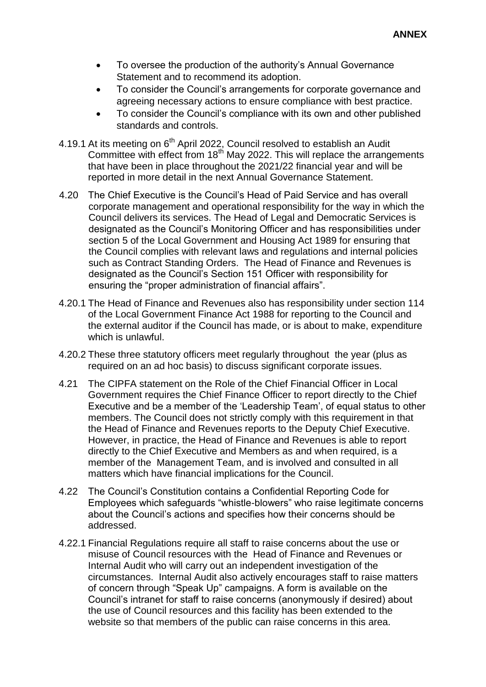- To oversee the production of the authority's Annual Governance Statement and to recommend its adoption.
- To consider the Council's arrangements for corporate governance and agreeing necessary actions to ensure compliance with best practice.
- To consider the Council's compliance with its own and other published standards and controls.
- 4.19.1 At its meeting on 6<sup>th</sup> April 2022, Council resolved to establish an Audit Committee with effect from 18<sup>th</sup> May 2022. This will replace the arrangements that have been in place throughout the 2021/22 financial year and will be reported in more detail in the next Annual Governance Statement.
- 4.20 The Chief Executive is the Council's Head of Paid Service and has overall corporate management and operational responsibility for the way in which the Council delivers its services. The Head of Legal and Democratic Services is designated as the Council's Monitoring Officer and has responsibilities under section 5 of the Local Government and Housing Act 1989 for ensuring that the Council complies with relevant laws and regulations and internal policies such as Contract Standing Orders. The Head of Finance and Revenues is designated as the Council's Section 151 Officer with responsibility for ensuring the "proper administration of financial affairs".
- 4.20.1 The Head of Finance and Revenues also has responsibility under section 114 of the Local Government Finance Act 1988 for reporting to the Council and the external auditor if the Council has made, or is about to make, expenditure which is unlawful.
- 4.20.2 These three statutory officers meet regularly throughout the year (plus as required on an ad hoc basis) to discuss significant corporate issues.
- 4.21 The CIPFA statement on the Role of the Chief Financial Officer in Local Government requires the Chief Finance Officer to report directly to the Chief Executive and be a member of the 'Leadership Team', of equal status to other members. The Council does not strictly comply with this requirement in that the Head of Finance and Revenues reports to the Deputy Chief Executive. However, in practice, the Head of Finance and Revenues is able to report directly to the Chief Executive and Members as and when required, is a member of the Management Team, and is involved and consulted in all matters which have financial implications for the Council.
- 4.22 The Council's Constitution contains a Confidential Reporting Code for Employees which safeguards "whistle-blowers" who raise legitimate concerns about the Council's actions and specifies how their concerns should be addressed.
- 4.22.1 Financial Regulations require all staff to raise concerns about the use or misuse of Council resources with the Head of Finance and Revenues or Internal Audit who will carry out an independent investigation of the circumstances. Internal Audit also actively encourages staff to raise matters of concern through "Speak Up" campaigns. A form is available on the Council's intranet for staff to raise concerns (anonymously if desired) about the use of Council resources and this facility has been extended to the website so that members of the public can raise concerns in this area.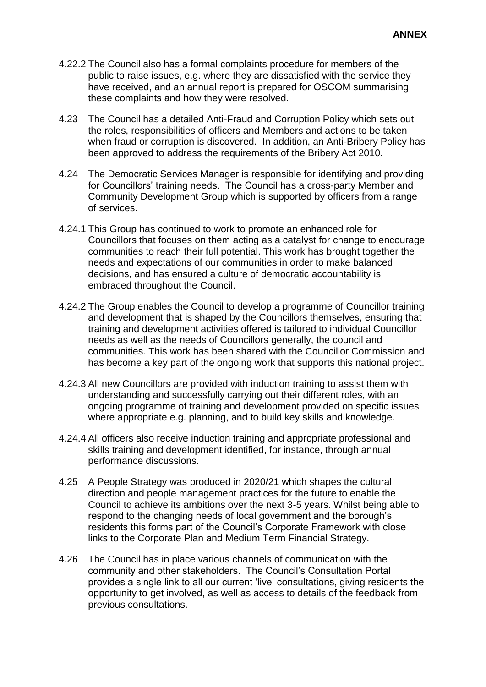- 4.22.2 The Council also has a formal complaints procedure for members of the public to raise issues, e.g. where they are dissatisfied with the service they have received, and an annual report is prepared for OSCOM summarising these complaints and how they were resolved.
- 4.23 The Council has a detailed Anti-Fraud and Corruption Policy which sets out the roles, responsibilities of officers and Members and actions to be taken when fraud or corruption is discovered. In addition, an Anti-Bribery Policy has been approved to address the requirements of the Bribery Act 2010.
- 4.24 The Democratic Services Manager is responsible for identifying and providing for Councillors' training needs. The Council has a cross-party Member and Community Development Group which is supported by officers from a range of services.
- 4.24.1 This Group has continued to work to promote an enhanced role for Councillors that focuses on them acting as a catalyst for change to encourage communities to reach their full potential. This work has brought together the needs and expectations of our communities in order to make balanced decisions, and has ensured a culture of democratic accountability is embraced throughout the Council.
- 4.24.2 The Group enables the Council to develop a programme of Councillor training and development that is shaped by the Councillors themselves, ensuring that training and development activities offered is tailored to individual Councillor needs as well as the needs of Councillors generally, the council and communities. This work has been shared with the Councillor Commission and has become a key part of the ongoing work that supports this national project.
- 4.24.3 All new Councillors are provided with induction training to assist them with understanding and successfully carrying out their different roles, with an ongoing programme of training and development provided on specific issues where appropriate e.g. planning, and to build key skills and knowledge.
- 4.24.4 All officers also receive induction training and appropriate professional and skills training and development identified, for instance, through annual performance discussions.
- 4.25 A People Strategy was produced in 2020/21 which shapes the cultural direction and people management practices for the future to enable the Council to achieve its ambitions over the next 3-5 years. Whilst being able to respond to the changing needs of local government and the borough's residents this forms part of the Council's Corporate Framework with close links to the Corporate Plan and Medium Term Financial Strategy.
- 4.26 The Council has in place various channels of communication with the community and other stakeholders. The Council's Consultation Portal provides a single link to all our current 'live' consultations, giving residents the opportunity to get involved, as well as access to details of the feedback from previous consultations.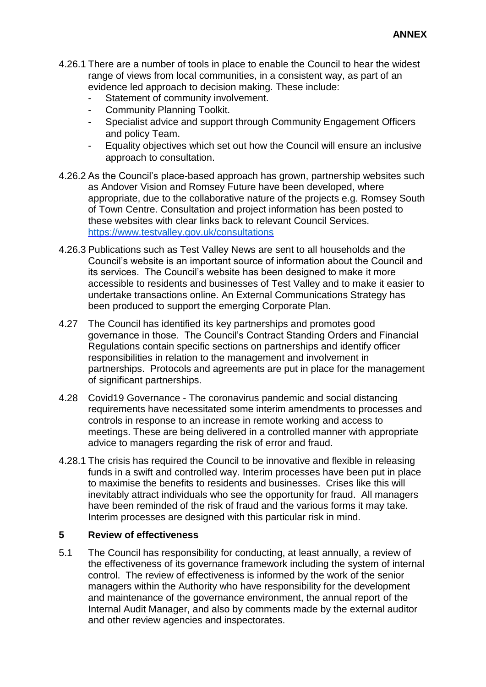- 4.26.1 There are a number of tools in place to enable the Council to hear the widest range of views from local communities, in a consistent way, as part of an evidence led approach to decision making. These include:
	- Statement of community involvement.
	- Community Planning Toolkit.
	- Specialist advice and support through Community Engagement Officers and policy Team.
	- Equality objectives which set out how the Council will ensure an inclusive approach to consultation.
- 4.26.2 As the Council's place-based approach has grown, partnership websites such as Andover Vision and Romsey Future have been developed, where appropriate, due to the collaborative nature of the projects e.g. Romsey South of Town Centre. Consultation and project information has been posted to these websites with clear links back to relevant Council Services. <https://www.testvalley.gov.uk/consultations>
- 4.26.3 Publications such as Test Valley News are sent to all households and the Council's website is an important source of information about the Council and its services. The Council's website has been designed to make it more accessible to residents and businesses of Test Valley and to make it easier to undertake transactions online. An External Communications Strategy has been produced to support the emerging Corporate Plan.
- 4.27 The Council has identified its key partnerships and promotes good governance in those. The Council's Contract Standing Orders and Financial Regulations contain specific sections on partnerships and identify officer responsibilities in relation to the management and involvement in partnerships. Protocols and agreements are put in place for the management of significant partnerships.
- 4.28 Covid19 Governance The coronavirus pandemic and social distancing requirements have necessitated some interim amendments to processes and controls in response to an increase in remote working and access to meetings. These are being delivered in a controlled manner with appropriate advice to managers regarding the risk of error and fraud.
- 4.28.1 The crisis has required the Council to be innovative and flexible in releasing funds in a swift and controlled way. Interim processes have been put in place to maximise the benefits to residents and businesses. Crises like this will inevitably attract individuals who see the opportunity for fraud. All managers have been reminded of the risk of fraud and the various forms it may take. Interim processes are designed with this particular risk in mind.

#### **5 Review of effectiveness**

5.1 The Council has responsibility for conducting, at least annually, a review of the effectiveness of its governance framework including the system of internal control. The review of effectiveness is informed by the work of the senior managers within the Authority who have responsibility for the development and maintenance of the governance environment, the annual report of the Internal Audit Manager, and also by comments made by the external auditor and other review agencies and inspectorates.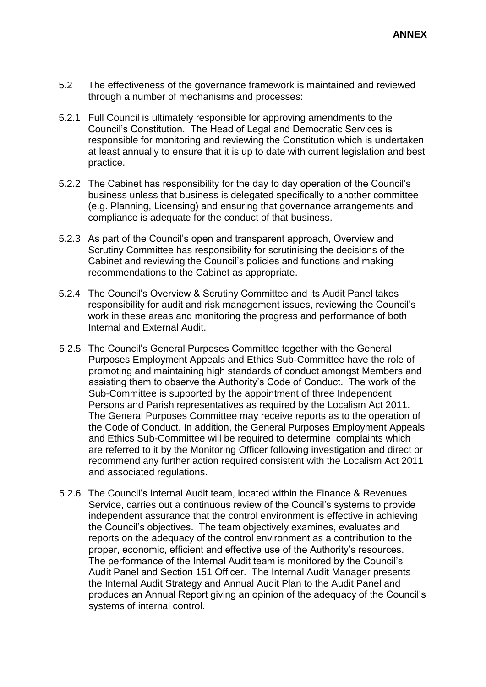- 5.2 The effectiveness of the governance framework is maintained and reviewed through a number of mechanisms and processes:
- 5.2.1 Full Council is ultimately responsible for approving amendments to the Council's Constitution. The Head of Legal and Democratic Services is responsible for monitoring and reviewing the Constitution which is undertaken at least annually to ensure that it is up to date with current legislation and best practice.
- 5.2.2 The Cabinet has responsibility for the day to day operation of the Council's business unless that business is delegated specifically to another committee (e.g. Planning, Licensing) and ensuring that governance arrangements and compliance is adequate for the conduct of that business.
- 5.2.3 As part of the Council's open and transparent approach, Overview and Scrutiny Committee has responsibility for scrutinising the decisions of the Cabinet and reviewing the Council's policies and functions and making recommendations to the Cabinet as appropriate.
- 5.2.4 The Council's Overview & Scrutiny Committee and its Audit Panel takes responsibility for audit and risk management issues, reviewing the Council's work in these areas and monitoring the progress and performance of both Internal and External Audit.
- 5.2.5 The Council's General Purposes Committee together with the General Purposes Employment Appeals and Ethics Sub-Committee have the role of promoting and maintaining high standards of conduct amongst Members and assisting them to observe the Authority's Code of Conduct. The work of the Sub-Committee is supported by the appointment of three Independent Persons and Parish representatives as required by the Localism Act 2011. The General Purposes Committee may receive reports as to the operation of the Code of Conduct. In addition, the General Purposes Employment Appeals and Ethics Sub-Committee will be required to determine complaints which are referred to it by the Monitoring Officer following investigation and direct or recommend any further action required consistent with the Localism Act 2011 and associated regulations.
- 5.2.6 The Council's Internal Audit team, located within the Finance & Revenues Service, carries out a continuous review of the Council's systems to provide independent assurance that the control environment is effective in achieving the Council's objectives. The team objectively examines, evaluates and reports on the adequacy of the control environment as a contribution to the proper, economic, efficient and effective use of the Authority's resources. The performance of the Internal Audit team is monitored by the Council's Audit Panel and Section 151 Officer. The Internal Audit Manager presents the Internal Audit Strategy and Annual Audit Plan to the Audit Panel and produces an Annual Report giving an opinion of the adequacy of the Council's systems of internal control.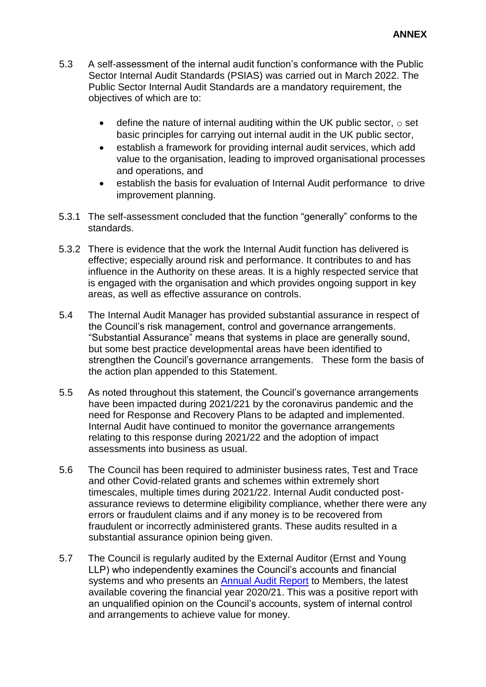- 5.3 A self-assessment of the internal audit function's conformance with the Public Sector Internal Audit Standards (PSIAS) was carried out in March 2022. The Public Sector Internal Audit Standards are a mandatory requirement, the objectives of which are to:
	- $\bullet$  define the nature of internal auditing within the UK public sector,  $\circ$  set basic principles for carrying out internal audit in the UK public sector,
	- establish a framework for providing internal audit services, which add value to the organisation, leading to improved organisational processes and operations, and
	- establish the basis for evaluation of Internal Audit performance to drive improvement planning.
- 5.3.1 The self-assessment concluded that the function "generally" conforms to the standards.
- 5.3.2 There is evidence that the work the Internal Audit function has delivered is effective; especially around risk and performance. It contributes to and has influence in the Authority on these areas. It is a highly respected service that is engaged with the organisation and which provides ongoing support in key areas, as well as effective assurance on controls.
- 5.4 The Internal Audit Manager has provided substantial assurance in respect of the Council's risk management, control and governance arrangements. "Substantial Assurance" means that systems in place are generally sound, but some best practice developmental areas have been identified to strengthen the Council's governance arrangements. These form the basis of the action plan appended to this Statement.
- 5.5 As noted throughout this statement, the Council's governance arrangements have been impacted during 2021/221 by the coronavirus pandemic and the need for Response and Recovery Plans to be adapted and implemented. Internal Audit have continued to monitor the governance arrangements relating to this response during 2021/22 and the adoption of impact assessments into business as usual.
- 5.6 The Council has been required to administer business rates, Test and Trace and other Covid-related grants and schemes within extremely short timescales, multiple times during 2021/22. Internal Audit conducted postassurance reviews to determine eligibility compliance, whether there were any errors or fraudulent claims and if any money is to be recovered from fraudulent or incorrectly administered grants. These audits resulted in a substantial assurance opinion being given.
- 5.7 The Council is regularly audited by the External Auditor (Ernst and Young LLP) who independently examines the Council's accounts and financial systems and who presents an [Annual Audit](https://www.testvalley.gov.uk/aboutyourcouncil/accesstoinformation/open-government-data/annualauditletter) Report [t](https://www.testvalley.gov.uk/aboutyourcouncil/accesstoinformation/open-government-data/annualauditletter)o Members, the latest available covering the financial year 2020/21. This was a positive report with an unqualified opinion on the Council's accounts, system of internal control and arrangements to achieve value for money.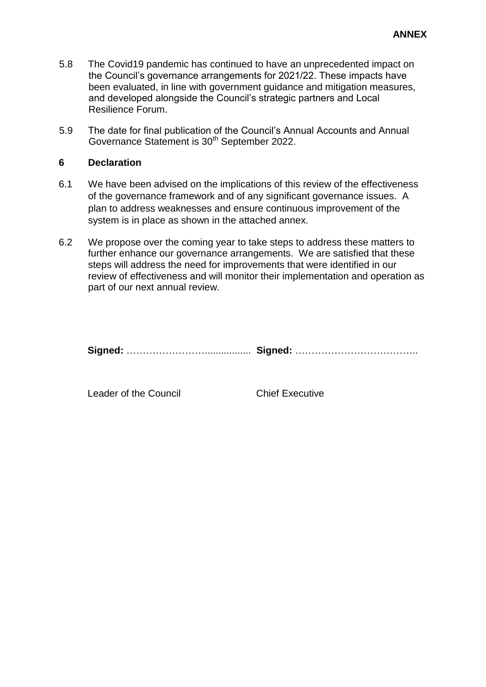- 5.8 The Covid19 pandemic has continued to have an unprecedented impact on the Council's governance arrangements for 2021/22. These impacts have been evaluated, in line with government guidance and mitigation measures, and developed alongside the Council's strategic partners and Local Resilience Forum.
- 5.9 The date for final publication of the Council's Annual Accounts and Annual Governance Statement is 30<sup>th</sup> September 2022.

#### **6 Declaration**

- 6.1 We have been advised on the implications of this review of the effectiveness of the governance framework and of any significant governance issues. A plan to address weaknesses and ensure continuous improvement of the system is in place as shown in the attached annex.
- 6.2 We propose over the coming year to take steps to address these matters to further enhance our governance arrangements. We are satisfied that these steps will address the need for improvements that were identified in our review of effectiveness and will monitor their implementation and operation as part of our next annual review.

**Signed:** ……………………................. **Signed:** ………………………………..

Leader of the Council **Chief Executive**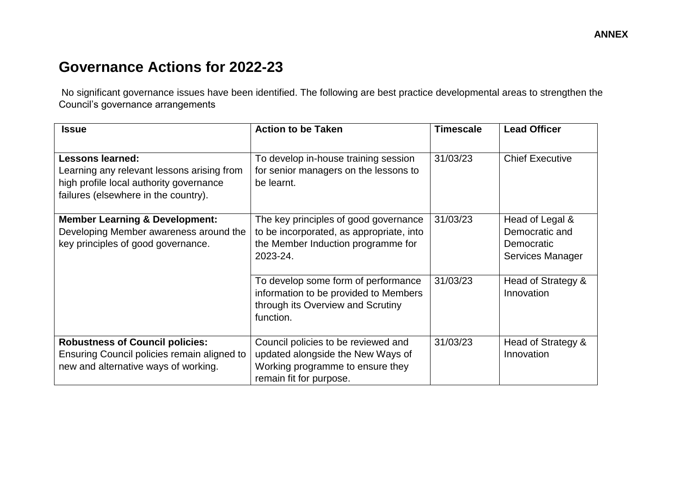# **Governance Actions for 2022-23**

No significant governance issues have been identified. The following are best practice developmental areas to strengthen the Council's governance arrangements

| <b>Issue</b>                                                                                                                                             | <b>Action to be Taken</b>                                                                                                               | <b>Timescale</b> | <b>Lead Officer</b>                                                 |
|----------------------------------------------------------------------------------------------------------------------------------------------------------|-----------------------------------------------------------------------------------------------------------------------------------------|------------------|---------------------------------------------------------------------|
|                                                                                                                                                          |                                                                                                                                         |                  |                                                                     |
| <b>Lessons learned:</b><br>Learning any relevant lessons arising from<br>high profile local authority governance<br>failures (elsewhere in the country). | To develop in-house training session<br>for senior managers on the lessons to<br>be learnt.                                             | 31/03/23         | <b>Chief Executive</b>                                              |
| <b>Member Learning &amp; Development:</b><br>Developing Member awareness around the<br>key principles of good governance.                                | The key principles of good governance<br>to be incorporated, as appropriate, into<br>the Member Induction programme for<br>2023-24.     | 31/03/23         | Head of Legal &<br>Democratic and<br>Democratic<br>Services Manager |
|                                                                                                                                                          | To develop some form of performance<br>information to be provided to Members<br>through its Overview and Scrutiny<br>function.          | 31/03/23         | Head of Strategy &<br>Innovation                                    |
| <b>Robustness of Council policies:</b><br>Ensuring Council policies remain aligned to<br>new and alternative ways of working.                            | Council policies to be reviewed and<br>updated alongside the New Ways of<br>Working programme to ensure they<br>remain fit for purpose. | 31/03/23         | Head of Strategy &<br>Innovation                                    |